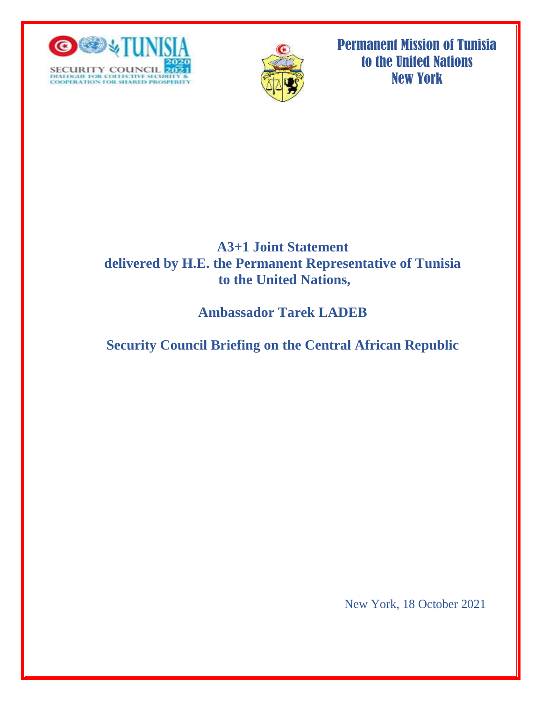



Permanent Mission of Tunisia to the United Nations New York

## **A3+1 Joint Statement delivered by H.E. the Permanent Representative of Tunisia to the United Nations,**

# **Ambassador Tarek LADEB**

# **Security Council Briefing on the Central African Republic**

New York, 18 October 2021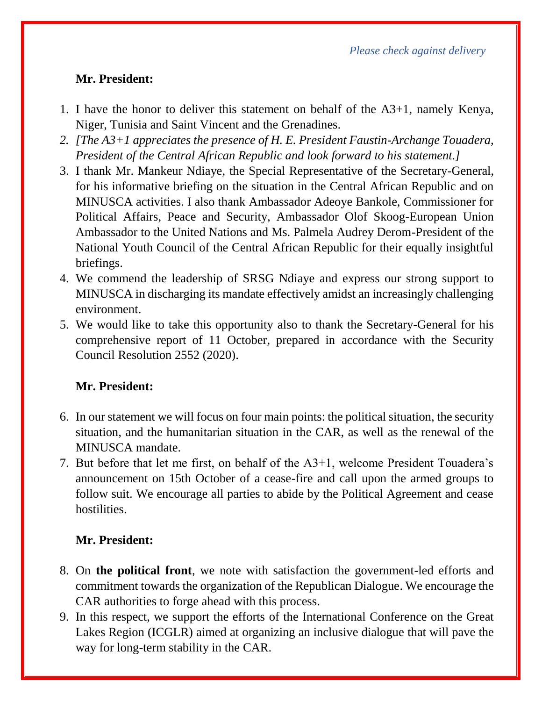*Please check against delivery*

#### **Mr. President:**

- 1. I have the honor to deliver this statement on behalf of the A3+1, namely Kenya, Niger, Tunisia and Saint Vincent and the Grenadines.
- *2. [The A3+1 appreciates the presence of H. E. President Faustin-Archange Touadera, President of the Central African Republic and look forward to his statement.]*
- 3. I thank Mr. Mankeur Ndiaye, the Special Representative of the Secretary-General, for his informative briefing on the situation in the Central African Republic and on MINUSCA activities. I also thank Ambassador Adeoye Bankole, Commissioner for Political Affairs, Peace and Security, Ambassador Olof Skoog-European Union Ambassador to the United Nations and Ms. Palmela Audrey Derom-President of the National Youth Council of the Central African Republic for their equally insightful briefings.
- 4. We commend the leadership of SRSG Ndiaye and express our strong support to MINUSCA in discharging its mandate effectively amidst an increasingly challenging environment.
- 5. We would like to take this opportunity also to thank the Secretary-General for his comprehensive report of 11 October, prepared in accordance with the Security Council Resolution 2552 (2020).

## **Mr. President:**

- 6. In our statement we will focus on four main points: the political situation, the security situation, and the humanitarian situation in the CAR, as well as the renewal of the MINUSCA mandate.
- 7. But before that let me first, on behalf of the A3+1, welcome President Touadera's announcement on 15th October of a cease-fire and call upon the armed groups to follow suit. We encourage all parties to abide by the Political Agreement and cease hostilities.

## **Mr. President:**

- 8. On **the political front**, we note with satisfaction the government-led efforts and commitment towards the organization of the Republican Dialogue. We encourage the CAR authorities to forge ahead with this process.
- 9. In this respect, we support the efforts of the International Conference on the Great Lakes Region (ICGLR) aimed at organizing an inclusive dialogue that will pave the way for long-term stability in the CAR.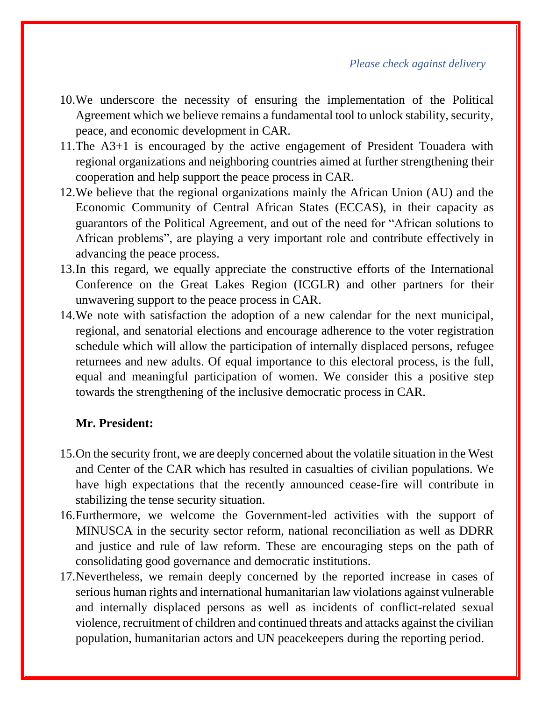*Please check against delivery*

- 10.We underscore the necessity of ensuring the implementation of the Political Agreement which we believe remains a fundamental tool to unlock stability, security, peace, and economic development in CAR.
- 11.The A3+1 is encouraged by the active engagement of President Touadera with regional organizations and neighboring countries aimed at further strengthening their cooperation and help support the peace process in CAR.
- 12.We believe that the regional organizations mainly the African Union (AU) and the Economic Community of Central African States (ECCAS), in their capacity as guarantors of the Political Agreement, and out of the need for "African solutions to African problems", are playing a very important role and contribute effectively in advancing the peace process.
- 13.In this regard, we equally appreciate the constructive efforts of the International Conference on the Great Lakes Region (ICGLR) and other partners for their unwavering support to the peace process in CAR.
- 14.We note with satisfaction the adoption of a new calendar for the next municipal, regional, and senatorial elections and encourage adherence to the voter registration schedule which will allow the participation of internally displaced persons, refugee returnees and new adults. Of equal importance to this electoral process, is the full, equal and meaningful participation of women. We consider this a positive step towards the strengthening of the inclusive democratic process in CAR.

#### **Mr. President:**

- 15.On the security front, we are deeply concerned about the volatile situation in the West and Center of the CAR which has resulted in casualties of civilian populations. We have high expectations that the recently announced cease-fire will contribute in stabilizing the tense security situation.
- 16.Furthermore, we welcome the Government-led activities with the support of MINUSCA in the security sector reform, national reconciliation as well as DDRR and justice and rule of law reform. These are encouraging steps on the path of consolidating good governance and democratic institutions.
- 17.Nevertheless, we remain deeply concerned by the reported increase in cases of serious human rights and international humanitarian law violations against vulnerable and internally displaced persons as well as incidents of conflict-related sexual violence, recruitment of children and continued threats and attacks against the civilian population, humanitarian actors and UN peacekeepers during the reporting period.